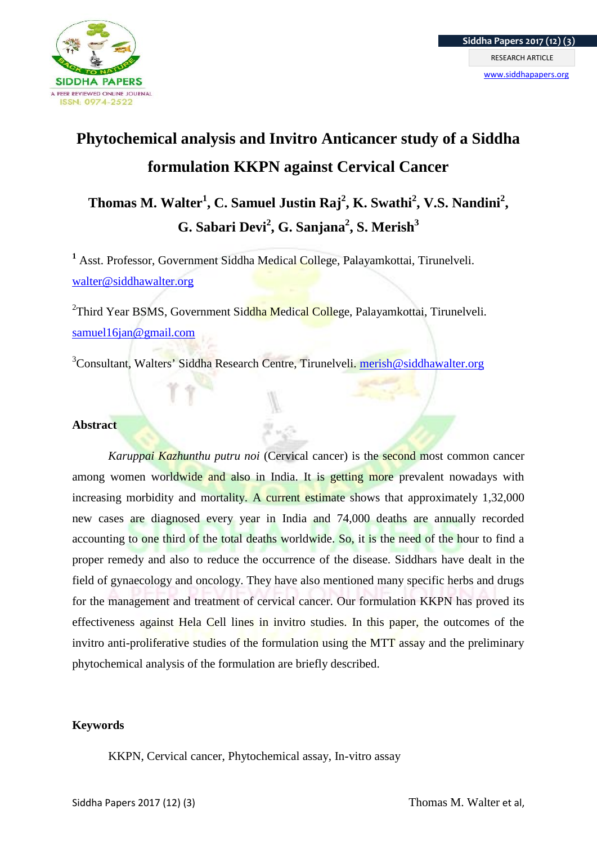

# **Phytochemical analysis and Invitro Anticancer study of a Siddha formulation KKPN against Cervical Cancer**

# **Thomas M. Walter<sup>1</sup> , C. Samuel Justin Raj<sup>2</sup> , K. Swathi<sup>2</sup> , V.S. Nandini<sup>2</sup> , G. Sabari Devi<sup>2</sup> , G. Sanjana<sup>2</sup> , S. Merish<sup>3</sup>**

**<sup>1</sup>** Asst. Professor, Government Siddha Medical College, Palayamkottai, Tirunelveli. walter@siddhawalter.org

<sup>2</sup>Third Year BSMS, Government Siddha Medical College, Palayamkottai, Tirunelveli. samuel16ian@gmail.com

<sup>3</sup>Consultant, Walters' Siddha Research Centre, Tirunelveli. merish@siddhawalter.org

# **Abstract**

*Karuppai Kazhunthu putru noi* (Cervical cancer) is the **second** most common cancer among women worldwide and also in India. It is getting more prevalent nowadays with increasing morbidity and mortality. A current estimate shows that approximately 1,32,000 new cases are diagnosed every year in India and 74,000 deaths are annually recorded accounting to one third of the total deaths worldwide. So, it is the need of the hour to find a proper remedy and also to reduce the occurrence of the disease. Siddhars have dealt in the field of gynaecology and oncology. They have also mentioned many specific herbs and drugs for the management and treatment of cervical cancer. Our formulation KKPN has proved its effectiveness against Hela Cell lines in invitro studies. In this paper, the outcomes of the invitro anti-proliferative studies of the formulation using the MTT assay and the preliminary phytochemical analysis of the formulation are briefly described.

# **Keywords**

KKPN, Cervical cancer, Phytochemical assay, In-vitro assay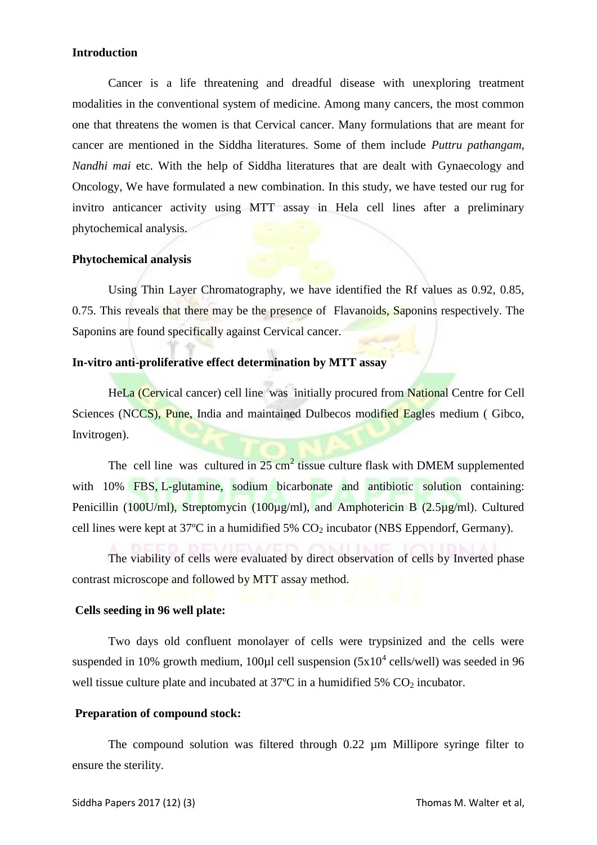## **Introduction**

Cancer is a life threatening and dreadful disease with unexploring treatment modalities in the conventional system of medicine. Among many cancers, the most common one that threatens the women is that Cervical cancer. Many formulations that are meant for cancer are mentioned in the Siddha literatures. Some of them include *Puttru pathangam, Nandhi mai* etc. With the help of Siddha literatures that are dealt with Gynaecology and Oncology, We have formulated a new combination. In this study, we have tested our rug for invitro anticancer activity using MTT assay in Hela cell lines after a preliminary phytochemical analysis.

#### **Phytochemical analysis**

Using Thin Layer Chromatography, we have identified the Rf values as 0.92, 0.85, 0.75. This reveals that there may be the presence of Flavanoids, Saponins respectively. The Saponins are found specifically against Cervical cancer.

# **In-vitro anti-proliferative effect determination by MTT assay**

HeLa (Cervical cancer) cell line was initially procured from National Centre for Cell Sciences (NCCS), Pune, India and maintained Dulbecos modified Eagles medium ( Gibco, Invitrogen).

The cell line was cultured in  $25 \text{ cm}^2$  tissue culture flask with DMEM supplemented with 10% FBS, L-glutamine, sodium bicarbonate and antibiotic solution containing: Penicillin (100U/ml), Streptomycin (100µg/ml), and Amphotericin B (2.5µg/ml). Cultured cell lines were kept at  $37^{\circ}$ C in a humidified  $5\%$  CO<sub>2</sub> incubator (NBS Eppendorf, Germany).

The viability of cells were evaluated by direct observation of cells by Inverted phase contrast microscope and followed by MTT assay method.

# **Cells seeding in 96 well plate:**

Two days old confluent monolayer of cells were trypsinized and the cells were suspended in 10% growth medium, 100 $\mu$ l cell suspension (5x10<sup>4</sup> cells/well) was seeded in 96 well tissue culture plate and incubated at  $37^{\circ}$ C in a humidified  $5\%$  CO<sub>2</sub> incubator.

#### **Preparation of compound stock:**

The compound solution was filtered through 0.22 um Millipore syringe filter to ensure the sterility.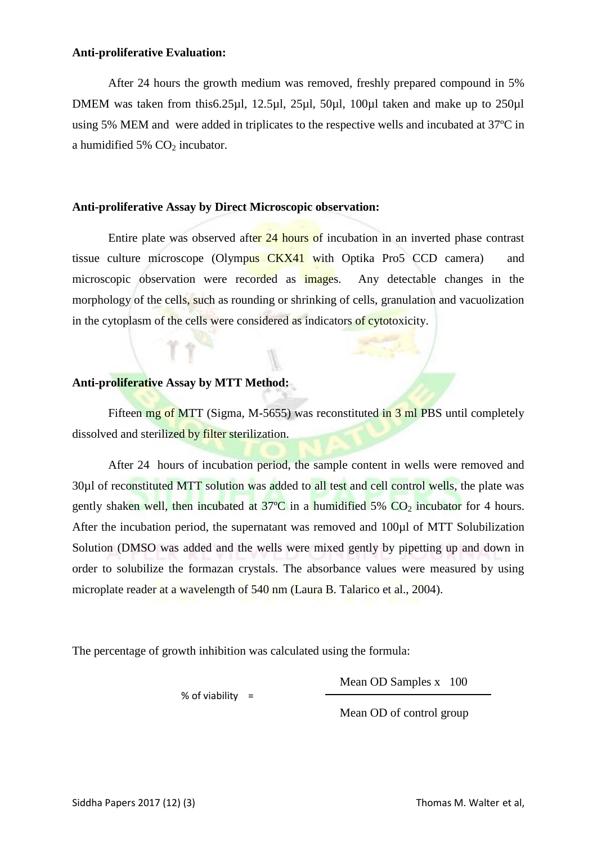### **Anti-proliferative Evaluation:**

After 24 hours the growth medium was removed, freshly prepared compound in 5% DMEM was taken from this6.25µl, 12.5µl, 25µl, 50µl, 100µl taken and make up to 250µl using 5% MEM and were added in triplicates to the respective wells and incubated at 37ºC in a humidified 5%  $CO<sub>2</sub>$  incubator.

# **Anti-proliferative Assay by Direct Microscopic observation:**

Entire plate was observed after 24 hours of incubation in an inverted phase contrast tissue culture microscope (Olympus CKX41 with Optika Pro5 CCD camera) and microscopic observation were recorded as **images**. Any detectable changes in the morphology of the cells, such as rounding or shrinking of cells, granulation and vacuolization in the cytoplasm of the cells were considered as indicators of cytotoxicity.

# **Anti-proliferative Assay by MTT Method:**

Fifteen mg of MTT (Sigma, M-5655) was reconstituted in 3 ml PBS until completely dissolved and sterilized by filter sterilization.

After 24 hours of incubation period, the sample content in wells were removed and 30µl of reconstituted MTT solution was added to all test and cell control wells, the plate was gently shaken well, then incubated at  $37^{\circ}$ C in a humidified 5% CO<sub>2</sub> incubator for 4 hours. After the incubation period, the supernatant was removed and 100µl of MTT Solubilization Solution (DMSO was added and the wells were mixed gently by pipetting up and down in order to solubilize the formazan crystals. The absorbance values were measured by using microplate reader at a wavelength of 540 nm (Laura B. Talarico et al., 2004).

The percentage of growth inhibition was calculated using the formula:

% of viability  $=$ 

Mean OD Samples x 100

Mean OD of control group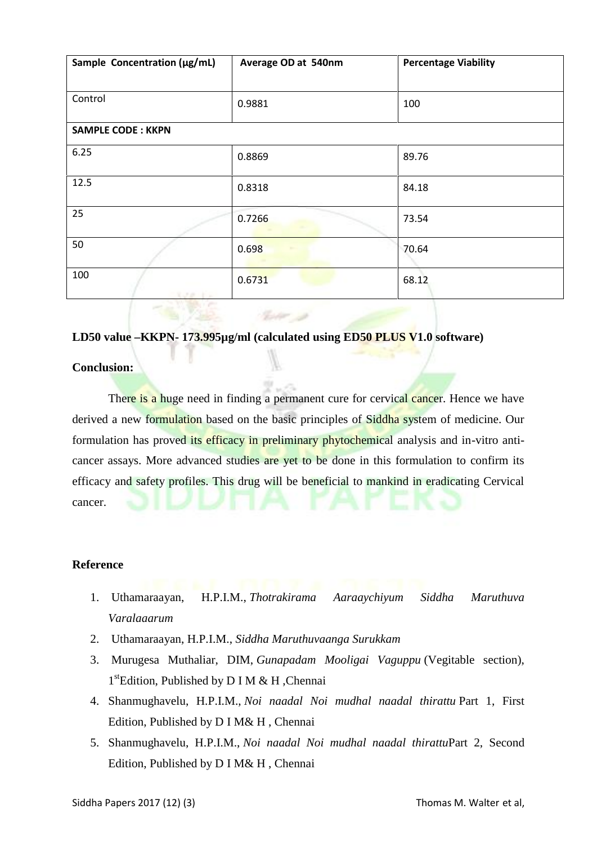| Sample Concentration (µg/mL) | Average OD at 540nm | <b>Percentage Viability</b> |
|------------------------------|---------------------|-----------------------------|
|                              |                     |                             |
| Control                      | 0.9881              | 100                         |
| <b>SAMPLE CODE: KKPN</b>     |                     |                             |
| 6.25                         | 0.8869              | 89.76                       |
| 12.5                         | 0.8318              | 84.18                       |
| 25                           | 0.7266              | 73.54                       |
| 50                           | 0.698               | 70.64                       |
| 100<br>スマネートレー               | 0.6731              | 68.12                       |

# **LD50 value –KKPN- 173.995µg/ml (calculated using ED50 PLUS V1.0 software)**

**Richard** 

# **Conclusion:**

There is a huge need in finding a permanent cure for cervical cancer. Hence we have derived a new formulation based on the basic principles of Siddha system of medicine. Our formulation has proved its efficacy in preliminary phytochemical analysis and in-vitro anticancer assays. More advanced studies are yet to be done in this formulation to confirm its efficacy and safety profiles. This drug will be beneficial to mankind in eradicating Cervical cancer.

# **Reference**

- 1. Uthamaraayan, H.P.I.M., *Thotrakirama Aaraaychiyum Siddha Maruthuva Varalaaarum*
- 2. Uthamaraayan, H.P.I.M., *Siddha Maruthuvaanga Surukkam*
- 3. Murugesa Muthaliar, DIM, *Gunapadam Mooligai Vaguppu* (Vegitable section), 1 stEdition, Published by D I M & H ,Chennai
- 4. Shanmughavelu, H.P.I.M., *Noi naadal Noi mudhal naadal thirattu* Part 1, First Edition, Published by D I M& H , Chennai
- 5. Shanmughavelu, H.P.I.M., *Noi naadal Noi mudhal naadal thirattu*Part 2, Second Edition, Published by D I M& H , Chennai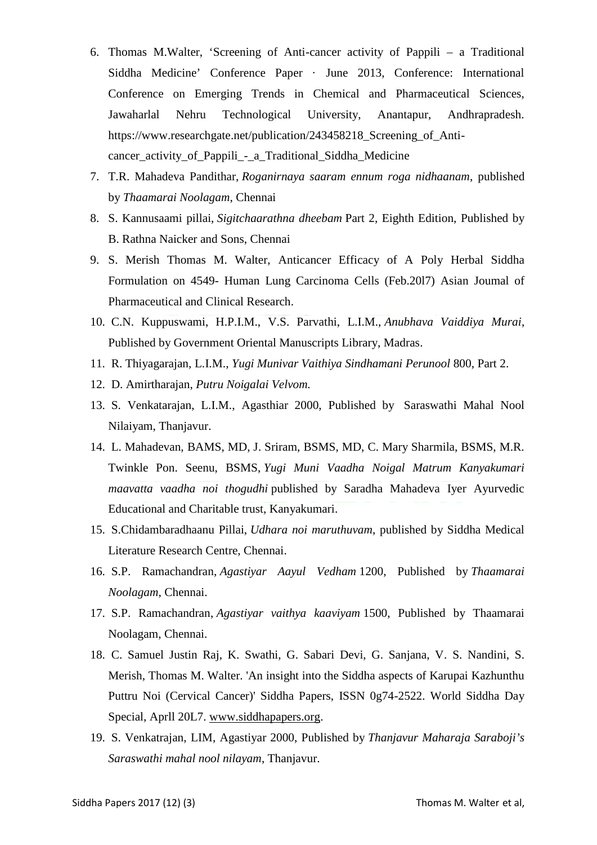- 6. Thomas M.Walter, 'Screening of Anti-cancer activity of Pappili a Traditional Siddha Medicine' Conference Paper · June 2013, Conference: International Conference on Emerging Trends in Chemical and Pharmaceutical Sciences, Jawaharlal Nehru Technological University, Anantapur, Andhrapradesh. https://www.researchgate.net/publication/243458218\_Screening\_of\_Anti cancer\_activity\_of\_Pappili\_-\_a\_Traditional\_Siddha\_Medicine
- 7. T.R. Mahadeva Pandithar, *Roganirnaya saaram ennum roga nidhaanam*, published by *Thaamarai Noolagam*, Chennai
- 8. S. Kannusaami pillai, *Sigitchaarathna dheebam* Part 2, Eighth Edition, Published by B. Rathna Naicker and Sons, Chennai
- 9. S. Merish Thomas M. Walter, Anticancer Efficacy of A Poly Herbal Siddha Formulation on 4549- Human Lung Carcinoma Cells (Feb.20l7) Asian Joumal of Pharmaceutical and Clinical Research.
- 10. C.N. Kuppuswami, H.P.I.M., V.S. Parvathi, L.I.M., *Anubhava Vaiddiya Murai*, Published by Government Oriental Manuscripts Library, Madras.
- 11. R. Thiyagarajan, L.I.M., *Yugi Munivar Vaithiya Sindhamani Perunool* 800, Part 2.
- 12. D. Amirtharajan, *Putru Noigalai Velvom.*
- 13. S. Venkatarajan, L.I.M., Agasthiar 2000, Published by Saraswathi Mahal Nool Nilaiyam, Thanjavur.
- 14. L. Mahadevan, BAMS, MD, J. Sriram, BSMS, MD, C. Mary Sharmila, BSMS, M.R. Twinkle Pon. Seenu, BSMS, *Yugi Muni Vaadha Noigal Matrum Kanyakumari maavatta vaadha noi thogudhi* published by Saradha Mahadeva Iyer Ayurvedic Educational and Charitable trust, Kanyakumari.
- 15. S.Chidambaradhaanu Pillai, *Udhara noi maruthuvam*, published by Siddha Medical Literature Research Centre, Chennai.
- 16. S.P. Ramachandran, *Agastiyar Aayul Vedham* 1200, Published by *Thaamarai Noolagam*, Chennai.
- 17. S.P. Ramachandran, *Agastiyar vaithya kaaviyam* 1500, Published by Thaamarai Noolagam, Chennai.
- 18. C. Samuel Justin Raj, K. Swathi, G. Sabari Devi, G. Sanjana, V. S. Nandini, S. Merish, Thomas M. Walter. 'An insight into the Siddha aspects of Karupai Kazhunthu Puttru Noi (Cervical Cancer)' Siddha Papers, ISSN 0g74-2522. World Siddha Day Special, Aprll 20L7. www.siddhapapers.org.
- 19. S. Venkatrajan, LIM, Agastiyar 2000, Published by *Thanjavur Maharaja Saraboji's Saraswathi mahal nool nilayam*, Thanjavur.